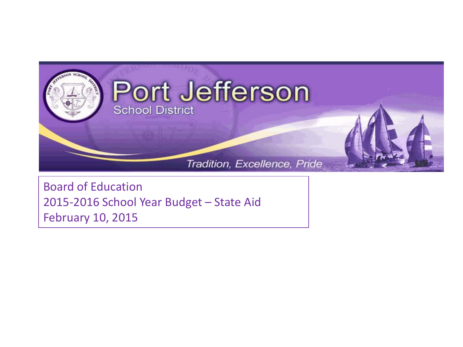

Board of Education 2015-2016 School Year Budget – State Aid February 10, 2015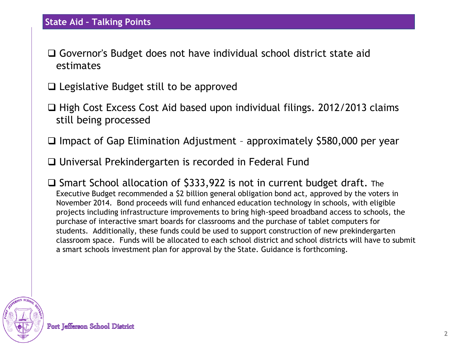- Governor's Budget does not have individual school district state aid estimates
- $\Box$  Legislative Budget still to be approved
- $\Box$  High Cost Excess Cost Aid based upon individual filings. 2012/2013 claims still being processed
- $\Box$  Impact of Gap Elimination Adjustment approximately \$580,000 per year
- □ Universal Prekindergarten is recorded in Federal Fund
- $\square$  Smart School allocation of \$333,922 is not in current budget draft. The Executive Budget recommended a \$2 billion general obligation bond act, approved by the voters in November 2014. Bond proceeds will fund enhanced education technology in schools, with eligible projects including infrastructure improvements to bring high-speed broadband access to schools, the purchase of interactive smart boards for classrooms and the purchase of tablet computers for students. Additionally, these funds could be used to support construction of new prekindergarten classroom space. Funds will be allocated to each school district and school districts will have to submit a smart schools investment plan for approval by the State. Guidance is forthcoming.

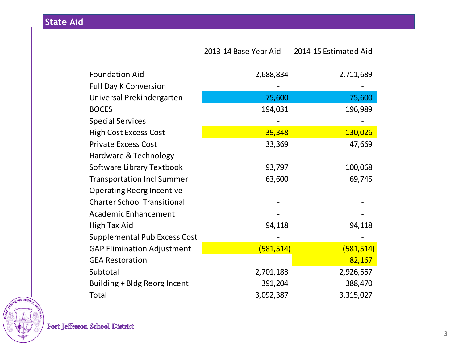## **State Aid**

|                                    | 2013-14 Base Year Aid | 2014-15 Estimated Aid |
|------------------------------------|-----------------------|-----------------------|
| <b>Foundation Aid</b>              | 2,688,834             | 2,711,689             |
| <b>Full Day K Conversion</b>       |                       |                       |
| Universal Prekindergarten          | 75,600                | 75,600                |
| <b>BOCES</b>                       | 194,031               | 196,989               |
| <b>Special Services</b>            |                       |                       |
| <b>High Cost Excess Cost</b>       | 39,348                | 130,026               |
| <b>Private Excess Cost</b>         | 33,369                | 47,669                |
| Hardware & Technology              |                       |                       |
| Software Library Textbook          | 93,797                | 100,068               |
| <b>Transportation Incl Summer</b>  | 63,600                | 69,745                |
| <b>Operating Reorg Incentive</b>   |                       |                       |
| <b>Charter School Transitional</b> |                       |                       |
| Academic Enhancement               |                       |                       |
| High Tax Aid                       | 94,118                | 94,118                |
| Supplemental Pub Excess Cost       |                       |                       |
| <b>GAP Elimination Adjustment</b>  | (581, 514)            | (581, 514)            |
| <b>GEA Restoration</b>             |                       | 82,167                |
| Subtotal                           | 2,701,183             | 2,926,557             |
| Building + Bldg Reorg Incent       | 391,204               | 388,470               |
| Total                              | 3,092,387             | 3,315,027             |

EFFERSON SCHO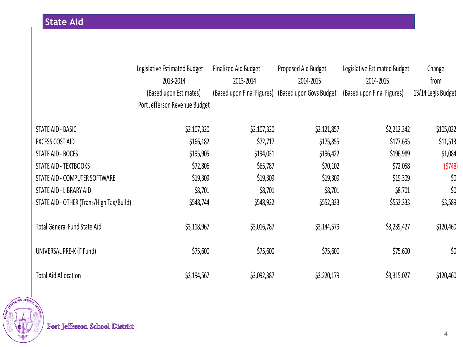|                                          | Legislative Estimated Budget<br>2013-2014 | <b>Finalized Aid Budget</b><br>2013-2014 | Proposed Aid Budget<br>2014-2015 | Legislative Estimated Budget<br>2014-2015 | Change<br>from     |
|------------------------------------------|-------------------------------------------|------------------------------------------|----------------------------------|-------------------------------------------|--------------------|
|                                          | (Based upon Estimates)                    | (Based upon Final Figures)               | (Based upon Govs Budget)         | (Based upon Final Figures)                | 13/14 Legis Budget |
|                                          | Port Jefferson Revenue Budget             |                                          |                                  |                                           |                    |
| STATE AID - BASIC                        | \$2,107,320                               | \$2,107,320                              | \$2,121,857                      | \$2,212,342                               | \$105,022          |
| <b>EXCESS COST AID</b>                   | \$166, 182                                | \$72,717                                 | \$175,855                        | \$177,695                                 | \$11,513           |
| STATE AID - BOCES                        | \$195,905                                 | \$194,031                                | \$196,422                        | \$196,989                                 | \$1,084            |
| STATE AID - TEXTBOOKS                    | \$72,806                                  | \$65,787                                 | \$70,102                         | \$72,058                                  | (5748)             |
| STATE AID - COMPUTER SOFTWARE            | \$19,309                                  | \$19,309                                 | \$19,309                         | \$19,309                                  | \$0                |
| STATE AID - LIBRARY AID                  | \$8,701                                   | \$8,701                                  | \$8,701                          | \$8,701                                   | \$0                |
| STATE AID - OTHER (Trans/High Tax/Build) | \$548,744                                 | \$548,922                                | \$552,333                        | \$552,333                                 | \$3,589            |
| <b>Total General Fund State Aid</b>      | \$3,118,967                               | \$3,016,787                              | \$3,144,579                      | \$3,239,427                               | \$120,460          |
| UNIVERSAL PRE-K (F Fund)                 | \$75,600                                  | \$75,600                                 | \$75,600                         | \$75,600                                  | \$0                |
| <b>Total Aid Allocation</b>              | \$3,194,567                               | \$3,092,387                              | \$3,220,179                      | \$3,315,027                               | \$120,460          |